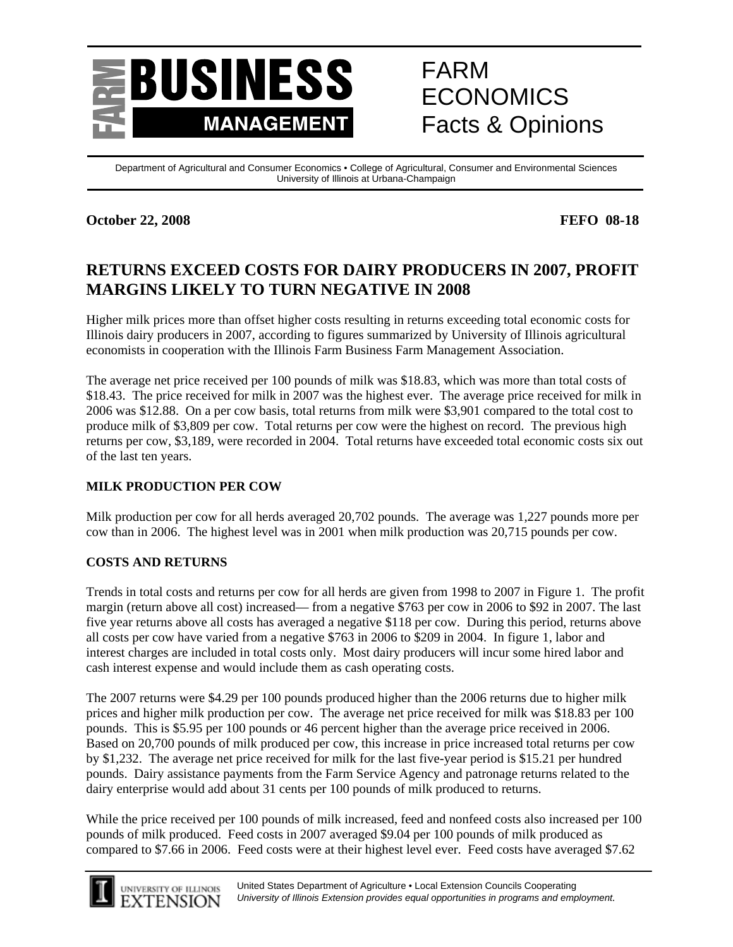

# FARM ECONOMICS Facts & Opinions

Department of Agricultural and Consumer Economics • College of Agricultural, Consumer and Environmental Sciences University of Illinois at Urbana-Champaign

## **October 22, 2008 FEFO 08-18**

# **RETURNS EXCEED COSTS FOR DAIRY PRODUCERS IN 2007, PROFIT MARGINS LIKELY TO TURN NEGATIVE IN 2008**

Higher milk prices more than offset higher costs resulting in returns exceeding total economic costs for Illinois dairy producers in 2007, according to figures summarized by University of Illinois agricultural economists in cooperation with the Illinois Farm Business Farm Management Association.

The average net price received per 100 pounds of milk was \$18.83, which was more than total costs of \$18.43. The price received for milk in 2007 was the highest ever. The average price received for milk in 2006 was \$12.88. On a per cow basis, total returns from milk were \$3,901 compared to the total cost to produce milk of \$3,809 per cow. Total returns per cow were the highest on record. The previous high returns per cow, \$3,189, were recorded in 2004. Total returns have exceeded total economic costs six out of the last ten years.

## **MILK PRODUCTION PER COW**

Milk production per cow for all herds averaged 20,702 pounds. The average was 1,227 pounds more per cow than in 2006. The highest level was in 2001 when milk production was 20,715 pounds per cow.

#### **COSTS AND RETURNS**

Trends in total costs and returns per cow for all herds are given from 1998 to 2007 in Figure 1. The profit margin (return above all cost) increased— from a negative \$763 per cow in 2006 to \$92 in 2007. The last five year returns above all costs has averaged a negative \$118 per cow. During this period, returns above all costs per cow have varied from a negative \$763 in 2006 to \$209 in 2004. In figure 1, labor and interest charges are included in total costs only. Most dairy producers will incur some hired labor and cash interest expense and would include them as cash operating costs.

The 2007 returns were \$4.29 per 100 pounds produced higher than the 2006 returns due to higher milk prices and higher milk production per cow. The average net price received for milk was \$18.83 per 100 pounds. This is \$5.95 per 100 pounds or 46 percent higher than the average price received in 2006. Based on 20,700 pounds of milk produced per cow, this increase in price increased total returns per cow by \$1,232. The average net price received for milk for the last five-year period is \$15.21 per hundred pounds. Dairy assistance payments from the Farm Service Agency and patronage returns related to the dairy enterprise would add about 31 cents per 100 pounds of milk produced to returns.

While the price received per 100 pounds of milk increased, feed and nonfeed costs also increased per 100 pounds of milk produced. Feed costs in 2007 averaged \$9.04 per 100 pounds of milk produced as compared to \$7.66 in 2006. Feed costs were at their highest level ever. Feed costs have averaged \$7.62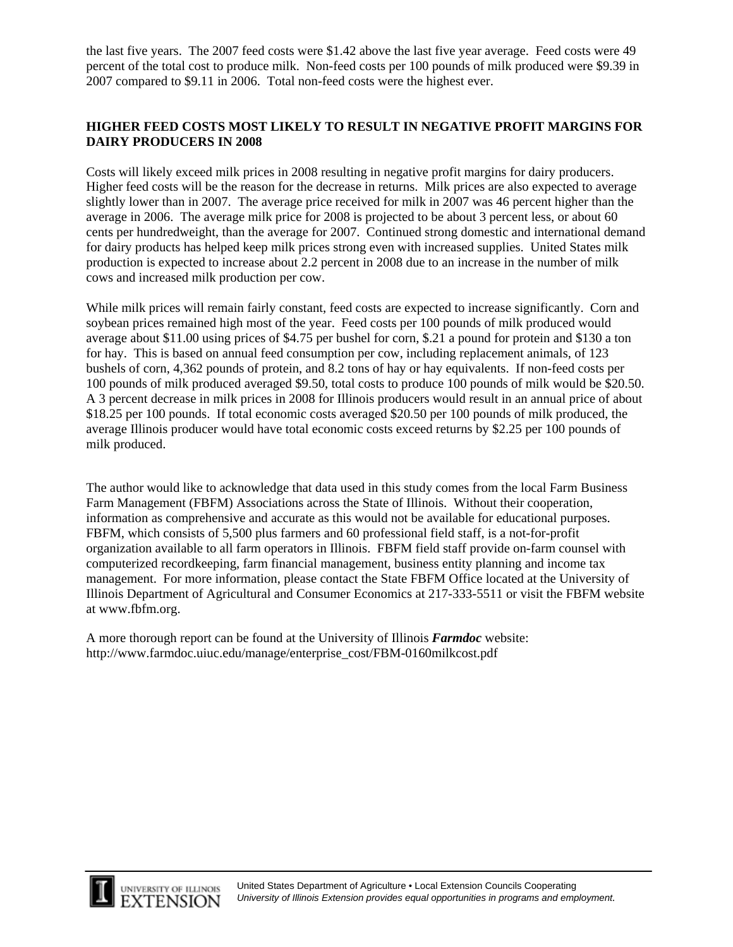the last five years. The 2007 feed costs were \$1.42 above the last five year average. Feed costs were 49 percent of the total cost to produce milk. Non-feed costs per 100 pounds of milk produced were \$9.39 in 2007 compared to \$9.11 in 2006. Total non-feed costs were the highest ever.

#### **HIGHER FEED COSTS MOST LIKELY TO RESULT IN NEGATIVE PROFIT MARGINS FOR DAIRY PRODUCERS IN 2008**

Costs will likely exceed milk prices in 2008 resulting in negative profit margins for dairy producers. Higher feed costs will be the reason for the decrease in returns. Milk prices are also expected to average slightly lower than in 2007. The average price received for milk in 2007 was 46 percent higher than the average in 2006. The average milk price for 2008 is projected to be about 3 percent less, or about 60 cents per hundredweight, than the average for 2007. Continued strong domestic and international demand for dairy products has helped keep milk prices strong even with increased supplies. United States milk production is expected to increase about 2.2 percent in 2008 due to an increase in the number of milk cows and increased milk production per cow.

While milk prices will remain fairly constant, feed costs are expected to increase significantly. Corn and soybean prices remained high most of the year. Feed costs per 100 pounds of milk produced would average about \$11.00 using prices of \$4.75 per bushel for corn, \$.21 a pound for protein and \$130 a ton for hay. This is based on annual feed consumption per cow, including replacement animals, of 123 bushels of corn, 4,362 pounds of protein, and 8.2 tons of hay or hay equivalents. If non-feed costs per 100 pounds of milk produced averaged \$9.50, total costs to produce 100 pounds of milk would be \$20.50. A 3 percent decrease in milk prices in 2008 for Illinois producers would result in an annual price of about \$18.25 per 100 pounds. If total economic costs averaged \$20.50 per 100 pounds of milk produced, the average Illinois producer would have total economic costs exceed returns by \$2.25 per 100 pounds of milk produced.

The author would like to acknowledge that data used in this study comes from the local Farm Business Farm Management (FBFM) Associations across the State of Illinois. Without their cooperation, information as comprehensive and accurate as this would not be available for educational purposes. FBFM, which consists of 5,500 plus farmers and 60 professional field staff, is a not-for-profit organization available to all farm operators in Illinois. FBFM field staff provide on-farm counsel with computerized recordkeeping, farm financial management, business entity planning and income tax management. For more information, please contact the State FBFM Office located at the University of Illinois Department of Agricultural and Consumer Economics at 217-333-5511 or visit the FBFM website at www.fbfm.org.

A more thorough report can be found at the University of Illinois *Farmdoc* website: http://www.farmdoc.uiuc.edu/manage/enterprise\_cost/FBM-0160milkcost.pdf